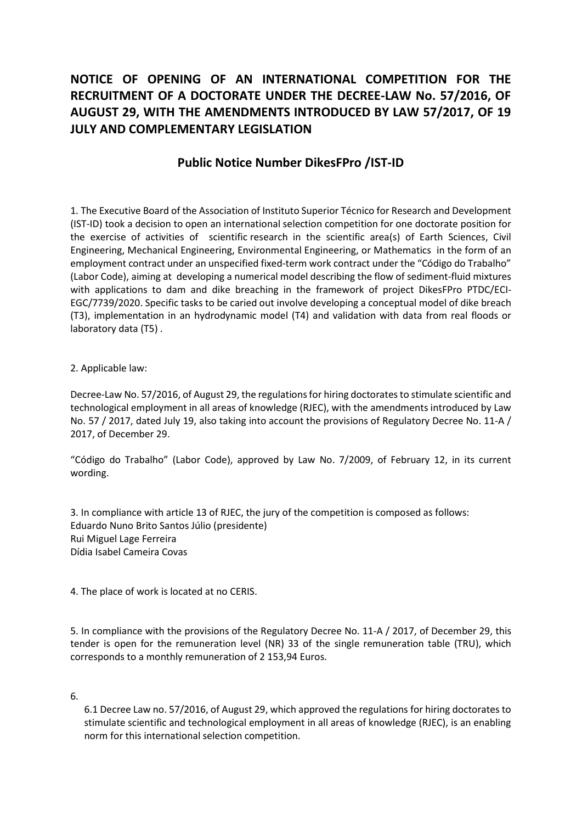## NOTICE OF OPENING OF AN INTERNATIONAL COMPETITION FOR THE RECRUITMENT OF A DOCTORATE UNDER THE DECREE-LAW No. 57/2016, OF AUGUST 29, WITH THE AMENDMENTS INTRODUCED BY LAW 57/2017, OF 19 JULY AND COMPLEMENTARY LEGISLATION

## Public Notice Number DikesFPro /IST-ID

1. The Executive Board of the Association of Instituto Superior Técnico for Research and Development (IST-ID) took a decision to open an international selection competition for one doctorate position for the exercise of activities of scientific research in the scientific area(s) of Earth Sciences, Civil Engineering, Mechanical Engineering, Environmental Engineering, or Mathematics in the form of an employment contract under an unspecified fixed-term work contract under the "Código do Trabalho" (Labor Code), aiming at developing a numerical model describing the flow of sediment-fluid mixtures with applications to dam and dike breaching in the framework of project DikesFPro PTDC/ECI-EGC/7739/2020. Specific tasks to be caried out involve developing a conceptual model of dike breach (T3), implementation in an hydrodynamic model (T4) and validation with data from real floods or laboratory data (T5) .

## 2. Applicable law:

Decree-Law No. 57/2016, of August 29, the regulations for hiring doctorates to stimulate scientific and technological employment in all areas of knowledge (RJEC), with the amendments introduced by Law No. 57 / 2017, dated July 19, also taking into account the provisions of Regulatory Decree No. 11-A / 2017, of December 29.

"Código do Trabalho" (Labor Code), approved by Law No. 7/2009, of February 12, in its current wording.

3. In compliance with article 13 of RJEC, the jury of the competition is composed as follows: Eduardo Nuno Brito Santos Júlio (presidente) Rui Miguel Lage Ferreira Dídia Isabel Cameira Covas

4. The place of work is located at no CERIS.

5. In compliance with the provisions of the Regulatory Decree No. 11-A / 2017, of December 29, this tender is open for the remuneration level (NR) 33 of the single remuneration table (TRU), which corresponds to a monthly remuneration of 2 153,94 Euros.

6.

6.1 Decree Law no. 57/2016, of August 29, which approved the regulations for hiring doctorates to stimulate scientific and technological employment in all areas of knowledge (RJEC), is an enabling norm for this international selection competition.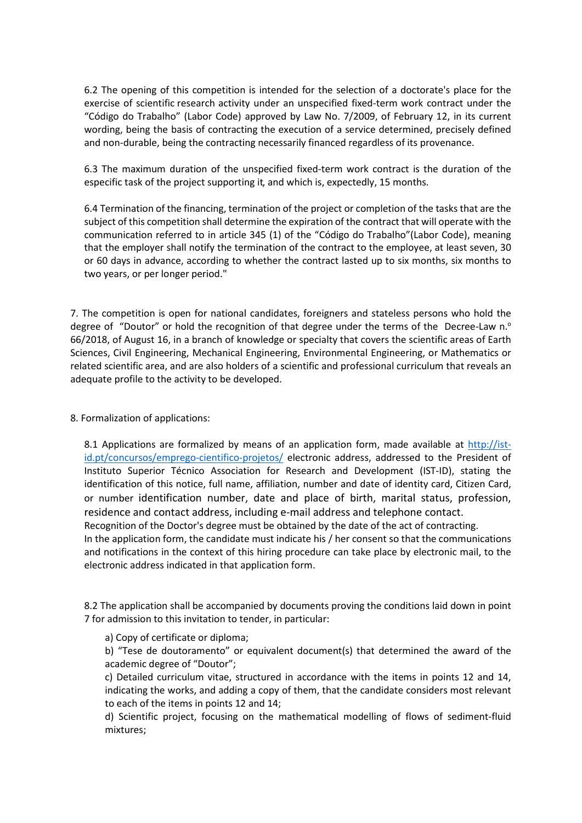6.2 The opening of this competition is intended for the selection of a doctorate's place for the exercise of scientific research activity under an unspecified fixed-term work contract under the "Código do Trabalho" (Labor Code) approved by Law No. 7/2009, of February 12, in its current wording, being the basis of contracting the execution of a service determined, precisely defined and non-durable, being the contracting necessarily financed regardless of its provenance.

6.3 The maximum duration of the unspecified fixed-term work contract is the duration of the especific task of the project supporting it, and which is, expectedly, 15 months.

6.4 Termination of the financing, termination of the project or completion of the tasks that are the subject of this competition shall determine the expiration of the contract that will operate with the communication referred to in article 345 (1) of the "Código do Trabalho"(Labor Code), meaning that the employer shall notify the termination of the contract to the employee, at least seven, 30 or 60 days in advance, according to whether the contract lasted up to six months, six months to two years, or per longer period."

7. The competition is open for national candidates, foreigners and stateless persons who hold the degree of "Doutor" or hold the recognition of that degree under the terms of the Decree-Law  $n<sup>o</sup>$ 66/2018, of August 16, in a branch of knowledge or specialty that covers the scientific areas of Earth Sciences, Civil Engineering, Mechanical Engineering, Environmental Engineering, or Mathematics or related scientific area, and are also holders of a scientific and professional curriculum that reveals an adequate profile to the activity to be developed.

8. Formalization of applications:

8.1 Applications are formalized by means of an application form, made available at http://istid.pt/concursos/emprego-cientifico-projetos/ electronic address, addressed to the President of Instituto Superior Técnico Association for Research and Development (IST-ID), stating the identification of this notice, full name, affiliation, number and date of identity card, Citizen Card, or number identification number, date and place of birth, marital status, profession, residence and contact address, including e-mail address and telephone contact.

Recognition of the Doctor's degree must be obtained by the date of the act of contracting. In the application form, the candidate must indicate his / her consent so that the communications

and notifications in the context of this hiring procedure can take place by electronic mail, to the electronic address indicated in that application form.

8.2 The application shall be accompanied by documents proving the conditions laid down in point 7 for admission to this invitation to tender, in particular:

a) Copy of certificate or diploma;

b) "Tese de doutoramento" or equivalent document(s) that determined the award of the academic degree of "Doutor";

c) Detailed curriculum vitae, structured in accordance with the items in points 12 and 14, indicating the works, and adding a copy of them, that the candidate considers most relevant to each of the items in points 12 and 14;

d) Scientific project, focusing on the mathematical modelling of flows of sediment-fluid mixtures;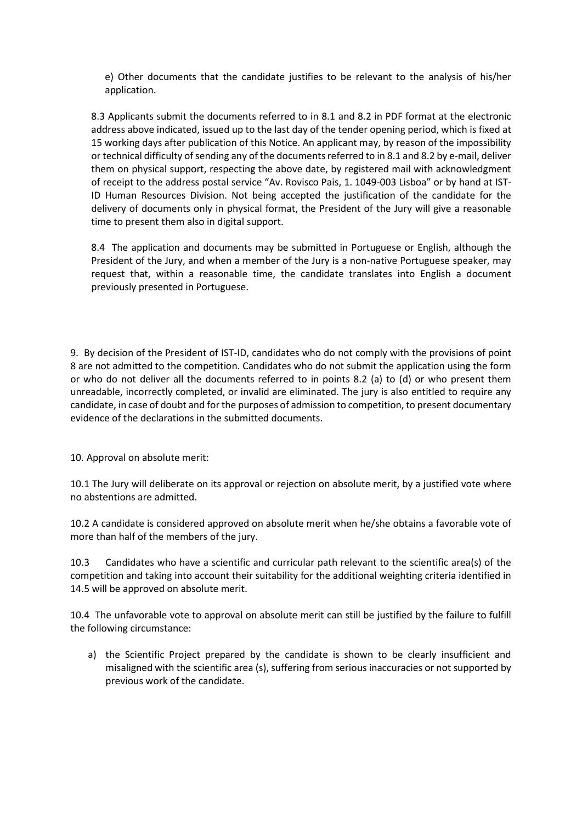e) Other documents that the candidate justifies to be relevant to the analysis of his/her application.

8.3 Applicants submit the documents referred to in 8.1 and 8.2 in PDF format at the electronic address above indicated, issued up to the last day of the tender opening period, which is fixed at 15 working days after publication of this Notice. An applicant may, by reason of the impossibility or technical difficulty of sending any of the documents referred to in 8.1 and 8.2 by e-mail, deliver them on physical support, respecting the above date, by registered mail with acknowledgment of receipt to the address postal service "Av. Rovisco Pais, 1. 1049-003 Lisboa" or by hand at IST-ID Human Resources Division. Not being accepted the justification of the candidate for the delivery of documents only in physical format, the President of the Jury will give a reasonable time to present them also in digital support.

8.4 The application and documents may be submitted in Portuguese or English, although the President of the Jury, and when a member of the Jury is a non-native Portuguese speaker, may request that, within a reasonable time, the candidate translates into English a document previously presented in Portuguese.

9. By decision of the President of IST-ID, candidates who do not comply with the provisions of point 8 are not admitted to the competition. Candidates who do not submit the application using the form or who do not deliver all the documents referred to in points 8.2 (a) to (d) or who present them unreadable, incorrectly completed, or invalid are eliminated. The jury is also entitled to require any candidate, in case of doubt and for the purposes of admission to competition, to present documentary evidence of the declarations in the submitted documents.

10. Approval on absolute merit:

10.1 The Jury will deliberate on its approval or rejection on absolute merit, by a justified vote where no abstentions are admitted.

10.2 A candidate is considered approved on absolute merit when he/she obtains a favorable vote of more than half of the members of the jury.

10.3 Candidates who have a scientific and curricular path relevant to the scientific area(s) of the competition and taking into account their suitability for the additional weighting criteria identified in 14.5 will be approved on absolute merit.

10.4 The unfavorable vote to approval on absolute merit can still be justified by the failure to fulfill the following circumstance:

a) the Scientific Project prepared by the candidate is shown to be clearly insufficient and misaligned with the scientific area (s), suffering from serious inaccuracies or not supported by previous work of the candidate.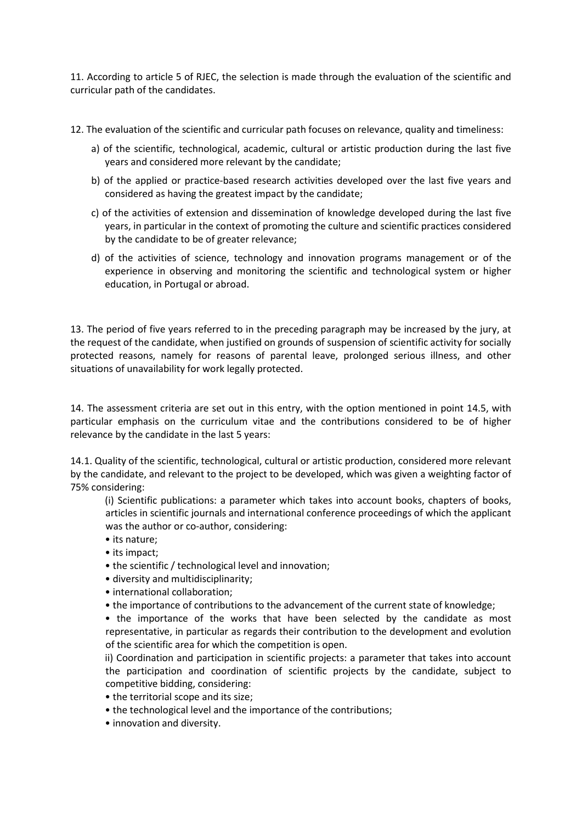11. According to article 5 of RJEC, the selection is made through the evaluation of the scientific and curricular path of the candidates.

- 12. The evaluation of the scientific and curricular path focuses on relevance, quality and timeliness:
	- a) of the scientific, technological, academic, cultural or artistic production during the last five years and considered more relevant by the candidate;
	- b) of the applied or practice-based research activities developed over the last five years and considered as having the greatest impact by the candidate;
	- c) of the activities of extension and dissemination of knowledge developed during the last five years, in particular in the context of promoting the culture and scientific practices considered by the candidate to be of greater relevance;
	- d) of the activities of science, technology and innovation programs management or of the experience in observing and monitoring the scientific and technological system or higher education, in Portugal or abroad.

13. The period of five years referred to in the preceding paragraph may be increased by the jury, at the request of the candidate, when justified on grounds of suspension of scientific activity for socially protected reasons, namely for reasons of parental leave, prolonged serious illness, and other situations of unavailability for work legally protected.

14. The assessment criteria are set out in this entry, with the option mentioned in point 14.5, with particular emphasis on the curriculum vitae and the contributions considered to be of higher relevance by the candidate in the last 5 years:

14.1. Quality of the scientific, technological, cultural or artistic production, considered more relevant by the candidate, and relevant to the project to be developed, which was given a weighting factor of 75% considering:

(i) Scientific publications: a parameter which takes into account books, chapters of books, articles in scientific journals and international conference proceedings of which the applicant was the author or co-author, considering:

- its nature;
- its impact;
- the scientific / technological level and innovation;
- diversity and multidisciplinarity;
- international collaboration;
- the importance of contributions to the advancement of the current state of knowledge;

• the importance of the works that have been selected by the candidate as most representative, in particular as regards their contribution to the development and evolution of the scientific area for which the competition is open.

ii) Coordination and participation in scientific projects: a parameter that takes into account the participation and coordination of scientific projects by the candidate, subject to competitive bidding, considering:

- the territorial scope and its size;
- the technological level and the importance of the contributions;
- innovation and diversity.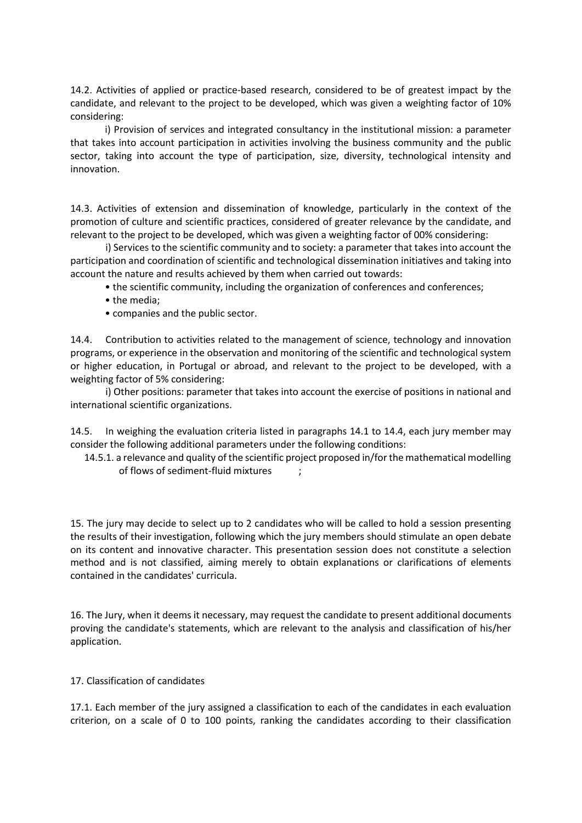14.2. Activities of applied or practice-based research, considered to be of greatest impact by the candidate, and relevant to the project to be developed, which was given a weighting factor of 10% considering:

i) Provision of services and integrated consultancy in the institutional mission: a parameter that takes into account participation in activities involving the business community and the public sector, taking into account the type of participation, size, diversity, technological intensity and innovation.

14.3. Activities of extension and dissemination of knowledge, particularly in the context of the promotion of culture and scientific practices, considered of greater relevance by the candidate, and relevant to the project to be developed, which was given a weighting factor of 00% considering:

 i) Services to the scientific community and to society: a parameter that takes into account the participation and coordination of scientific and technological dissemination initiatives and taking into account the nature and results achieved by them when carried out towards:

• the scientific community, including the organization of conferences and conferences;

- the media;
- companies and the public sector.

14.4. Contribution to activities related to the management of science, technology and innovation programs, or experience in the observation and monitoring of the scientific and technological system or higher education, in Portugal or abroad, and relevant to the project to be developed, with a weighting factor of 5% considering:

 i) Other positions: parameter that takes into account the exercise of positions in national and international scientific organizations.

14.5. In weighing the evaluation criteria listed in paragraphs 14.1 to 14.4, each jury member may consider the following additional parameters under the following conditions:

14.5.1. a relevance and quality of the scientific project proposed in/for the mathematical modelling of flows of sediment-fluid mixtures ;

15. The jury may decide to select up to 2 candidates who will be called to hold a session presenting the results of their investigation, following which the jury members should stimulate an open debate on its content and innovative character. This presentation session does not constitute a selection method and is not classified, aiming merely to obtain explanations or clarifications of elements contained in the candidates' curricula.

16. The Jury, when it deems it necessary, may request the candidate to present additional documents proving the candidate's statements, which are relevant to the analysis and classification of his/her application.

## 17. Classification of candidates

17.1. Each member of the jury assigned a classification to each of the candidates in each evaluation criterion, on a scale of 0 to 100 points, ranking the candidates according to their classification